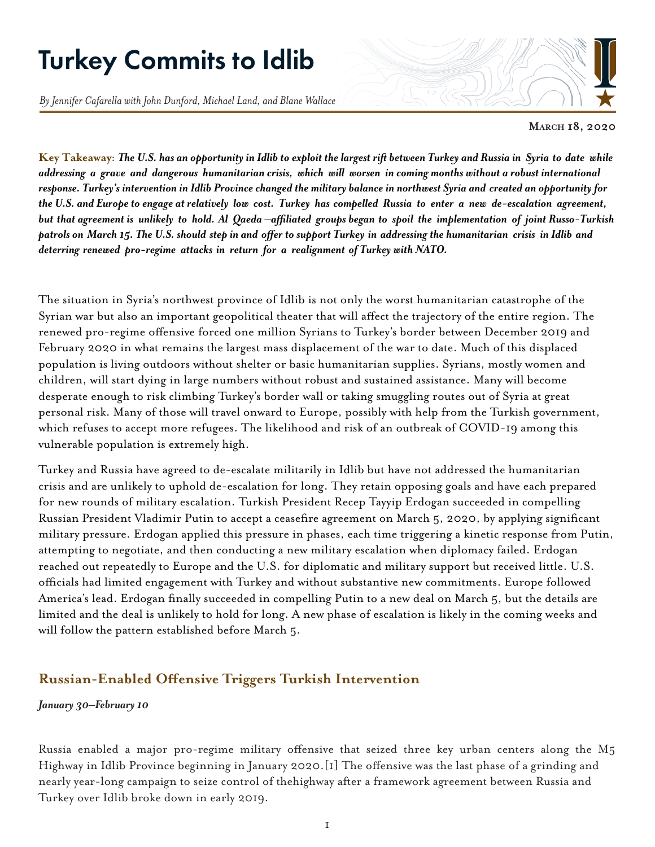# Turkey Commits to Idlib

*By Jennifer Cafarella with John Dunford, Michael Land, and Blane Wallace*

**March 18, 2020**

Key Takeaway: The U.S. has an opportunity in Idlib to exploit the largest rift between Turkey and Russia in Syria to date while addressing a grave and dangerous humanitarian crisis, which will worsen in coming months without a robust international response. Turkey's intervention in Idlib Province changed the military balance in northwest Syria and created an opportunity for the U.S. and Europe to engage at relatively low cost. Turkey has compelled Russia to enter a new de-escalation agreement, but that agreement is unlikely to hold. Al Qaeda —affiliated groups began to spoil the implementation of joint Russo-Turkish patrols on March 15. The U.S. should step in and offer to support Turkey in addressing the humanitarian crisis in Idlib and *deterring renewed pro-regime attacks in return for a realignment of Turkey with NATO.*

The situation in Syria's northwest province of Idlib is not only the worst humanitarian catastrophe of the Syrian war but also an important geopolitical theater that will affect the trajectory of the entire region. The renewed pro-regime offensive forced one million Syrians to Turkey's border between December 2019 and February 2020 in what remains the largest mass displacement of the war to date. Much of this displaced population is living outdoors without shelter or basic humanitarian supplies. Syrians, mostly women and children, will start dying in large numbers without robust and sustained assistance. Many will become desperate enough to risk climbing Turkey's border wall or taking smuggling routes out of Syria at great personal risk. Many of those will travel onward to Europe, possibly with help from the Turkish government, which refuses to accept more refugees. The likelihood and risk of an outbreak of COVID-19 among this vulnerable population is extremely high.

Turkey and Russia have agreed to de-escalate militarily in Idlib but have not addressed the humanitarian crisis and are unlikely to uphold de-escalation for long. They retain opposing goals and have each prepared for new rounds of military escalation. Turkish President Recep Tayyip Erdogan succeeded in compelling Russian President Vladimir Putin to accept a ceasefire agreement on March 5, 2020, by applying significant military pressure. Erdogan applied this pressure in phases, each time triggering a kinetic response from Putin, attempting to negotiate, and then conducting a new military escalation when diplomacy failed. Erdogan reached out repeatedly to Europe and the U.S. for diplomatic and military support but received little. U.S. officials had limited engagement with Turkey and without substantive new commitments. Europe followed America's lead. Erdogan finally succeeded in compelling Putin to a new deal on March 5, but the details are limited and the deal is unlikely to hold for long. A new phase of escalation is likely in the coming weeks and will follow the pattern established before March 5.

### **Russian-Enabled Offensive Triggers Turkish Intervention**

#### *January 30–February 10*

Russia enabled a major pro-regime military offensive that seized three key urban centers along the M5 Highway in Idlib Province beginning in January 2020.[1] The offensive was the last phase of a grinding and nearly year-long campaign to seize control of thehighway after a framework agreement between Russia and Turkey over Idlib broke down in early 2019.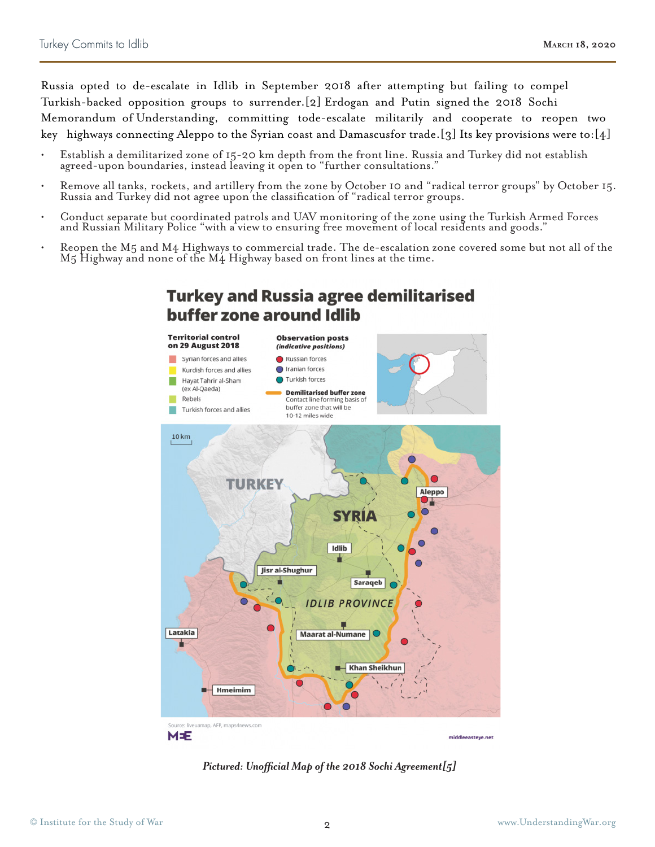Russia opted to de-escalate in Idlib in September 2018 after attempting but failing to compel Turkish-backed opposition groups to surrender.[2] Erdogan and Putin signed the 2018 Sochi Memorandum of Understanding, committing tode-escalate militarily and cooperate to reopen two key highways connecting Aleppo to the Syrian coast and Damascusfor trade.[3] Its key provisions were to:[4]

- Establish a demilitarized zone of 15-20 km depth from the front line. Russia and Turkey did not establish agreed-upon boundaries, instead leaving it open to "further consultations."
- Remove all tanks, rockets, and artillery from the zone by October 10 and "radical terror groups" by October 15. Russia and Turkey did not agree upon the classification of "radical terror groups.
- Conduct separate but coordinated patrols and UAV monitoring of the zone using the Turkish Armed Forces and Russian Military Police "with a view to ensuring free movement of local residents and goods."
- Reopen the M5 and M4 Highways to commercial trade. The de-escalation zone covered some but not all of the M5 Highway and none of the M4 Highway based on front lines at the time.



**Turkey and Russia agree demilitarised** 

*Pictured: Unofficial Map of the 2018 Sochi Agreement[5]*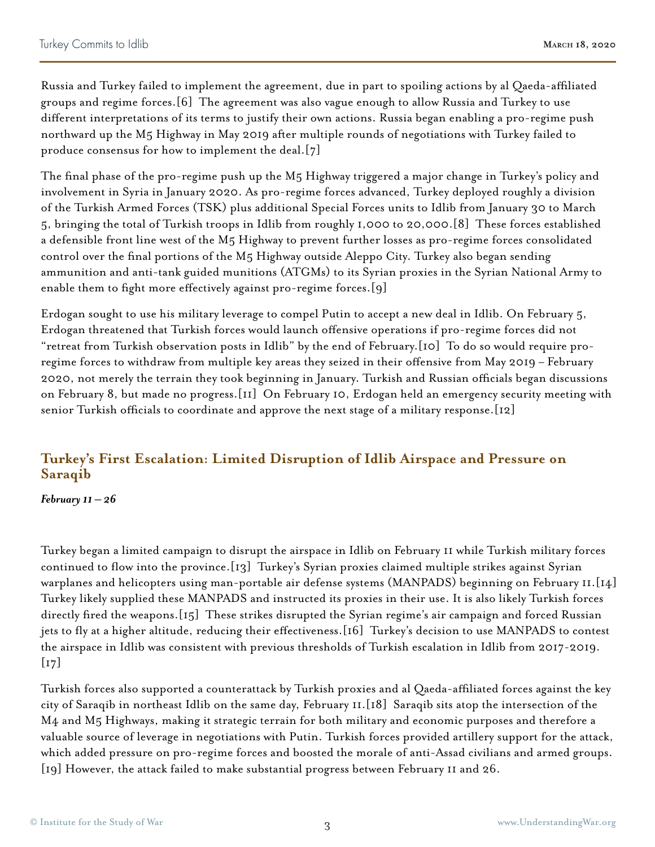Russia and Turkey failed to implement the agreement, due in part to spoiling actions by al Qaeda-affiliated groups and regime forces.[6] The agreement was also vague enough to allow Russia and Turkey to use different interpretations of its terms to justify their own actions. Russia began enabling a pro-regime push northward up the M5 Highway in May 2019 after multiple rounds of negotiations with Turkey failed to produce consensus for how to implement the deal.[7]

The final phase of the pro-regime push up the M5 Highway triggered a major change in Turkey's policy and involvement in Syria in January 2020. As pro-regime forces advanced, Turkey deployed roughly a division of the Turkish Armed Forces (TSK) plus additional Special Forces units to Idlib from January 30 to March 5, bringing the total of Turkish troops in Idlib from roughly 1,000 to 20,000.[8] These forces established a defensible front line west of the M5 Highway to prevent further losses as pro-regime forces consolidated control over the final portions of the M5 Highway outside Aleppo City. Turkey also began sending ammunition and anti-tank guided munitions (ATGMs) to its Syrian proxies in the Syrian National Army to enable them to fight more effectively against pro-regime forces.[9]

Erdogan sought to use his military leverage to compel Putin to accept a new deal in Idlib. On February 5, Erdogan threatened that Turkish forces would launch offensive operations if pro-regime forces did not "retreat from Turkish observation posts in Idlib" by the end of February.[10] To do so would require proregime forces to withdraw from multiple key areas they seized in their offensive from May 2019 – February 2020, not merely the terrain they took beginning in January. Turkish and Russian officials began discussions on February 8, but made no progress.[11] On February 10, Erdogan held an emergency security meeting with senior Turkish officials to coordinate and approve the next stage of a military response.[12]

## **Turkey's First Escalation: Limited Disruption of Idlib Airspace and Pressure on Saraqib**

#### *February 11 – 26*

Turkey began a limited campaign to disrupt the airspace in Idlib on February 11 while Turkish military forces continued to flow into the province.[13] Turkey's Syrian proxies claimed multiple strikes against Syrian warplanes and helicopters using man-portable air defense systems (MANPADS) beginning on February 11.[14] Turkey likely supplied these MANPADS and instructed its proxies in their use. It is also likely Turkish forces directly fired the weapons.[15] These strikes disrupted the Syrian regime's air campaign and forced Russian jets to fly at a higher altitude, reducing their effectiveness.[16] Turkey's decision to use MANPADS to contest the airspace in Idlib was consistent with previous thresholds of Turkish escalation in Idlib from 2017-2019.  $\left[17\right]$ 

Turkish forces also supported a counterattack by Turkish proxies and al Qaeda-affiliated forces against the key city of Saraqib in northeast Idlib on the same day, February 11.[18] Saraqib sits atop the intersection of the M4 and M5 Highways, making it strategic terrain for both military and economic purposes and therefore a valuable source of leverage in negotiations with Putin. Turkish forces provided artillery support for the attack, which added pressure on pro-regime forces and boosted the morale of anti-Assad civilians and armed groups. [19] However, the attack failed to make substantial progress between February 11 and 26.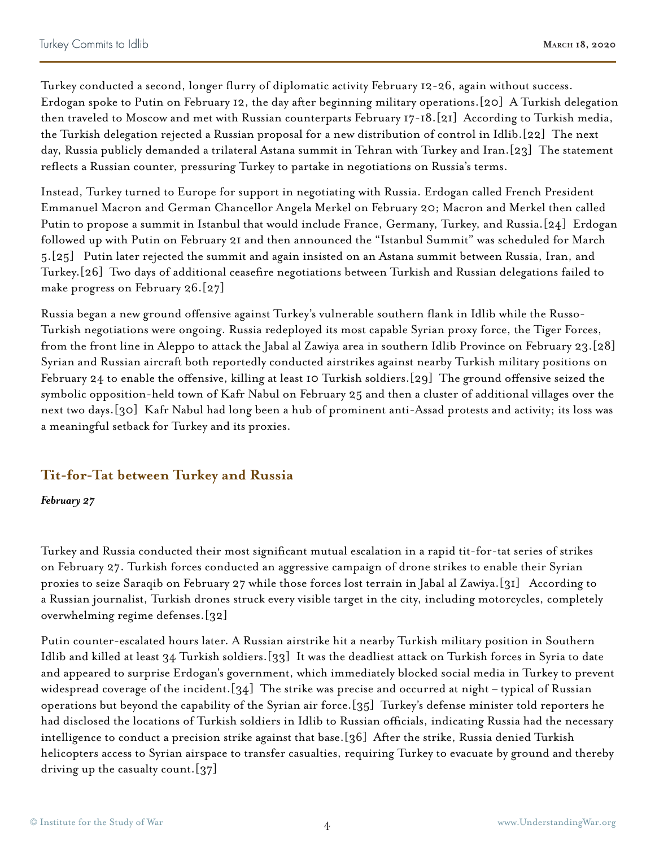Turkey conducted a second, longer flurry of diplomatic activity February 12-26, again without success. Erdogan spoke to Putin on February 12, the day after beginning military operations.[20] A Turkish delegation then traveled to Moscow and met with Russian counterparts February 17-18.[21] According to Turkish media, the Turkish delegation rejected a Russian proposal for a new distribution of control in Idlib.[22] The next day, Russia publicly demanded a trilateral Astana summit in Tehran with Turkey and Iran.[23] The statement reflects a Russian counter, pressuring Turkey to partake in negotiations on Russia's terms.

Instead, Turkey turned to Europe for support in negotiating with Russia. Erdogan called French President Emmanuel Macron and German Chancellor Angela Merkel on February 20; Macron and Merkel then called Putin to propose a summit in Istanbul that would include France, Germany, Turkey, and Russia.[24] Erdogan followed up with Putin on February 21 and then announced the "Istanbul Summit" was scheduled for March 5.[25] Putin later rejected the summit and again insisted on an Astana summit between Russia, Iran, and Turkey.[26] Two days of additional ceasefire negotiations between Turkish and Russian delegations failed to make progress on February 26.[27]

Russia began a new ground offensive against Turkey's vulnerable southern flank in Idlib while the Russo-Turkish negotiations were ongoing. Russia redeployed its most capable Syrian proxy force, the Tiger Forces, from the front line in Aleppo to attack the Jabal al Zawiya area in southern Idlib Province on February 23.[28] Syrian and Russian aircraft both reportedly conducted airstrikes against nearby Turkish military positions on February 24 to enable the offensive, killing at least 10 Turkish soldiers.[29] The ground offensive seized the symbolic opposition-held town of Kafr Nabul on February 25 and then a cluster of additional villages over the next two days.[30] Kafr Nabul had long been a hub of prominent anti-Assad protests and activity; its loss was a meaningful setback for Turkey and its proxies.

## **Tit-for-Tat between Turkey and Russia**

#### *February 27*

Turkey and Russia conducted their most significant mutual escalation in a rapid tit-for-tat series of strikes on February 27. Turkish forces conducted an aggressive campaign of drone strikes to enable their Syrian proxies to seize Saraqib on February 27 while those forces lost terrain in Jabal al Zawiya.[31] According to a Russian journalist, Turkish drones struck every visible target in the city, including motorcycles, completely overwhelming regime defenses.[32]

Putin counter-escalated hours later. A Russian airstrike hit a nearby Turkish military position in Southern Idlib and killed at least 34 Turkish soldiers.[33] It was the deadliest attack on Turkish forces in Syria to date and appeared to surprise Erdogan's government, which immediately blocked social media in Turkey to prevent widespread coverage of the incident.[34] The strike was precise and occurred at night – typical of Russian operations but beyond the capability of the Syrian air force.[35] Turkey's defense minister told reporters he had disclosed the locations of Turkish soldiers in Idlib to Russian officials, indicating Russia had the necessary intelligence to conduct a precision strike against that base.[36] After the strike, Russia denied Turkish helicopters access to Syrian airspace to transfer casualties, requiring Turkey to evacuate by ground and thereby driving up the casualty count.[37]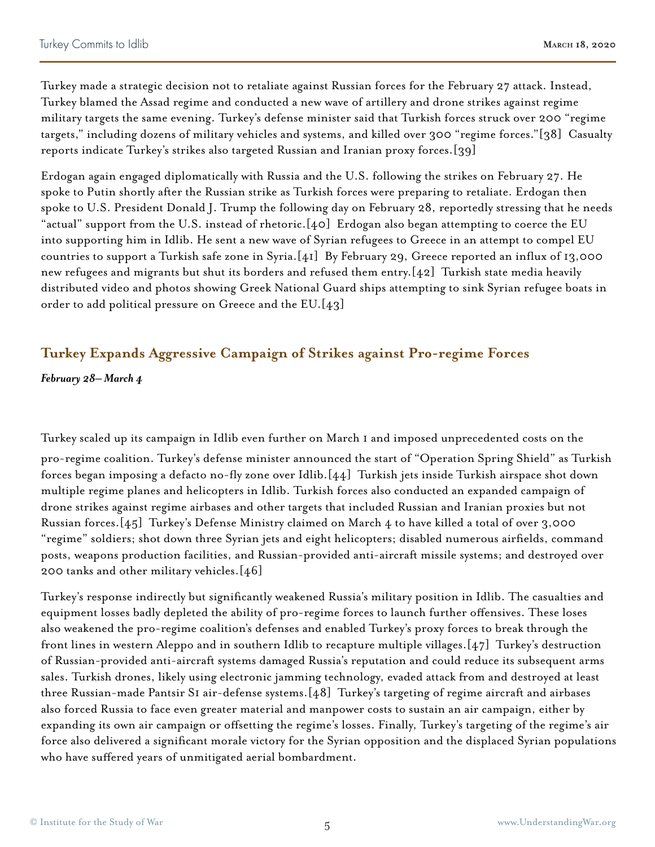Turkey made a strategic decision not to retaliate against Russian forces for the February 27 attack. Instead, Turkey blamed the Assad regime and conducted a new wave of artillery and drone strikes against regime military targets the same evening. Turkey's defense minister said that Turkish forces struck over 200 "regime targets," including dozens of military vehicles and systems, and killed over 300 "regime forces."[38] Casualty reports indicate Turkey's strikes also targeted Russian and Iranian proxy forces.[39]

Erdogan again engaged diplomatically with Russia and the U.S. following the strikes on February 27. He spoke to Putin shortly after the Russian strike as Turkish forces were preparing to retaliate. Erdogan then spoke to U.S. President Donald J. Trump the following day on February 28, reportedly stressing that he needs "actual" support from the U.S. instead of rhetoric.[40] Erdogan also began attempting to coerce the EU into supporting him in Idlib. He sent a new wave of Syrian refugees to Greece in an attempt to compel EU countries to support a Turkish safe zone in Syria.[41] By February 29, Greece reported an influx of 13,000 new refugees and migrants but shut its borders and refused them entry.[42] Turkish state media heavily distributed video and photos showing Greek National Guard ships attempting to sink Syrian refugee boats in order to add political pressure on Greece and the EU.[43]

## **Turkey Expands Aggressive Campaign of Strikes against Pro-regime Forces**

*February 28– March 4*

Turkey scaled up its campaign in Idlib even further on March 1 and imposed unprecedented costs on the pro-regime coalition. Turkey's defense minister announced the start of "Operation Spring Shield" as Turkish forces began imposing a defacto no-fly zone over Idlib.[44] Turkish jets inside Turkish airspace shot down multiple regime planes and helicopters in Idlib. Turkish forces also conducted an expanded campaign of drone strikes against regime airbases and other targets that included Russian and Iranian proxies but not Russian forces.[45] Turkey's Defense Ministry claimed on March 4 to have killed a total of over 3,000 "regime" soldiers; shot down three Syrian jets and eight helicopters; disabled numerous airfields, command posts, weapons production facilities, and Russian-provided anti-aircraft missile systems; and destroyed over 200 tanks and other military vehicles.[46]

Turkey's response indirectly but significantly weakened Russia's military position in Idlib. The casualties and equipment losses badly depleted the ability of pro-regime forces to launch further offensives. These loses also weakened the pro-regime coalition's defenses and enabled Turkey's proxy forces to break through the front lines in western Aleppo and in southern Idlib to recapture multiple villages.[47] Turkey's destruction of Russian-provided anti-aircraft systems damaged Russia's reputation and could reduce its subsequent arms sales. Turkish drones, likely using electronic jamming technology, evaded attack from and destroyed at least three Russian-made Pantsir S1 air-defense systems.[48] Turkey's targeting of regime aircraft and airbases also forced Russia to face even greater material and manpower costs to sustain an air campaign, either by expanding its own air campaign or offsetting the regime's losses. Finally, Turkey's targeting of the regime's air force also delivered a significant morale victory for the Syrian opposition and the displaced Syrian populations who have suffered years of unmitigated aerial bombardment.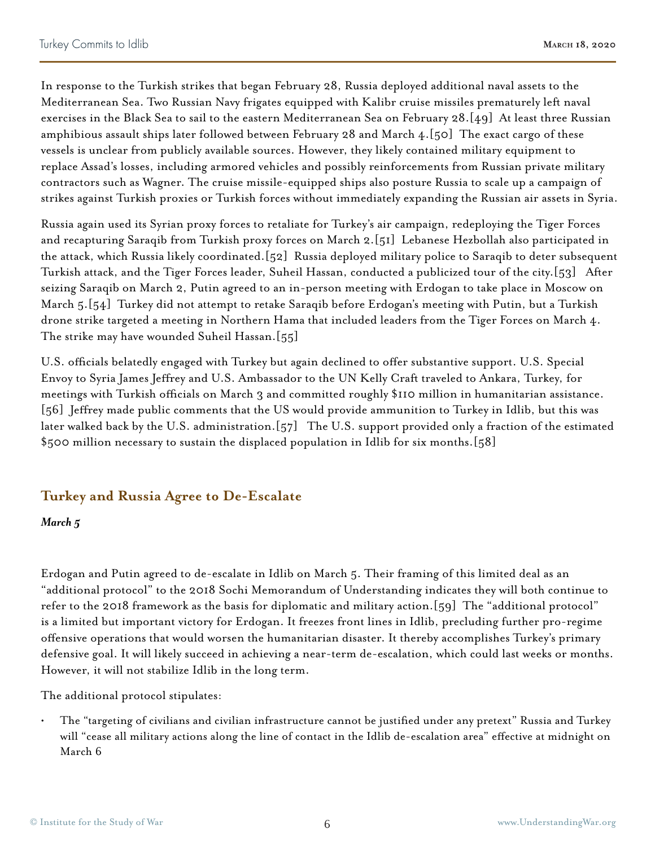In response to the Turkish strikes that began February 28, Russia deployed additional naval assets to the Mediterranean Sea. Two Russian Navy frigates equipped with Kalibr cruise missiles prematurely left naval exercises in the Black Sea to sail to the eastern Mediterranean Sea on February 28.[49] At least three Russian amphibious assault ships later followed between February 28 and March  $4.[50]$  The exact cargo of these vessels is unclear from publicly available sources. However, they likely contained military equipment to replace Assad's losses, including armored vehicles and possibly reinforcements from Russian private military contractors such as Wagner. The cruise missile-equipped ships also posture Russia to scale up a campaign of strikes against Turkish proxies or Turkish forces without immediately expanding the Russian air assets in Syria.

Russia again used its Syrian proxy forces to retaliate for Turkey's air campaign, redeploying the Tiger Forces and recapturing Saraqib from Turkish proxy forces on March 2.[51] Lebanese Hezbollah also participated in the attack, which Russia likely coordinated.[52] Russia deployed military police to Saraqib to deter subsequent Turkish attack, and the Tiger Forces leader, Suheil Hassan, conducted a publicized tour of the city.[53] After seizing Saraqib on March 2, Putin agreed to an in-person meeting with Erdogan to take place in Moscow on March 5.[54] Turkey did not attempt to retake Saraqib before Erdogan's meeting with Putin, but a Turkish drone strike targeted a meeting in Northern Hama that included leaders from the Tiger Forces on March 4. The strike may have wounded Suheil Hassan.[55]

U.S. officials belatedly engaged with Turkey but again declined to offer substantive support. U.S. Special Envoy to Syria James Jeffrey and U.S. Ambassador to the UN Kelly Craft traveled to Ankara, Turkey, for meetings with Turkish officials on March 3 and committed roughly \$110 million in humanitarian assistance. [56] Jeffrey made public comments that the US would provide ammunition to Turkey in Idlib, but this was later walked back by the U.S. administration.[57] The U.S. support provided only a fraction of the estimated \$500 million necessary to sustain the displaced population in Idlib for six months.[58]

## **Turkey and Russia Agree to De-Escalate**

#### *March 5*

Erdogan and Putin agreed to de-escalate in Idlib on March 5. Their framing of this limited deal as an "additional protocol" to the 2018 Sochi Memorandum of Understanding indicates they will both continue to refer to the 2018 framework as the basis for diplomatic and military action.[59] The "additional protocol" is a limited but important victory for Erdogan. It freezes front lines in Idlib, precluding further pro-regime offensive operations that would worsen the humanitarian disaster. It thereby accomplishes Turkey's primary defensive goal. It will likely succeed in achieving a near-term de-escalation, which could last weeks or months. However, it will not stabilize Idlib in the long term.

The additional protocol stipulates:

• The "targeting of civilians and civilian infrastructure cannot be justified under any pretext" Russia and Turkey will "cease all military actions along the line of contact in the Idlib de-escalation area" effective at midnight on March 6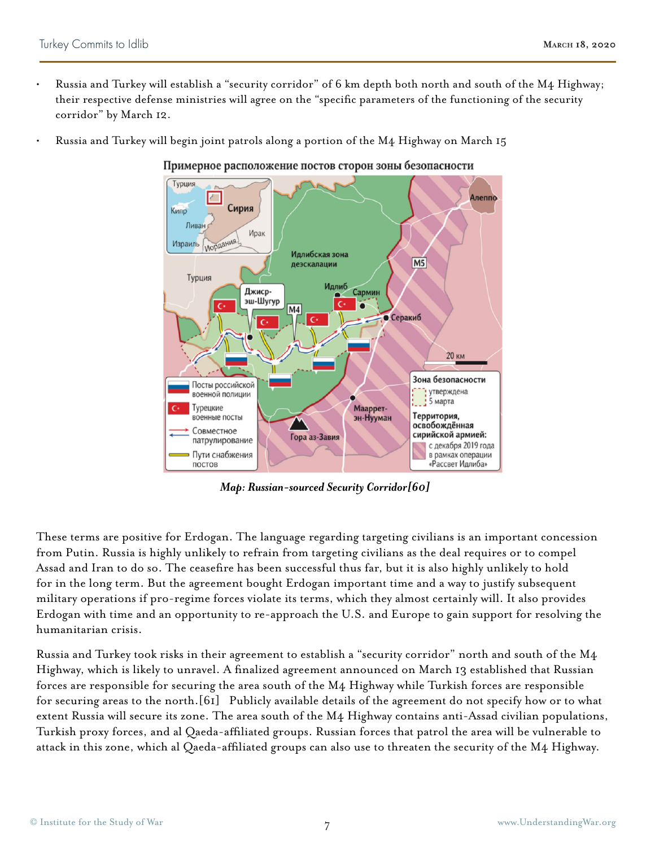- Russia and Turkey will establish a "security corridor" of 6 km depth both north and south of the M4 Highway; their respective defense ministries will agree on the "specific parameters of the functioning of the security corridor" by March 12.
- Russia and Turkey will begin joint patrols along a portion of the M4 Highway on March 15

Примерное расположение постов сторон зоны безопасности



*Map: Russian-sourced Security Corridor[60]*

These terms are positive for Erdogan. The language regarding targeting civilians is an important concession from Putin. Russia is highly unlikely to refrain from targeting civilians as the deal requires or to compel Assad and Iran to do so. The ceasefire has been successful thus far, but it is also highly unlikely to hold for in the long term. But the agreement bought Erdogan important time and a way to justify subsequent military operations if pro-regime forces violate its terms, which they almost certainly will. It also provides Erdogan with time and an opportunity to re-approach the U.S. and Europe to gain support for resolving the humanitarian crisis.

Russia and Turkey took risks in their agreement to establish a "security corridor" north and south of the M4 Highway, which is likely to unravel. A finalized agreement announced on March 13 established that Russian forces are responsible for securing the area south of the M4 Highway while Turkish forces are responsible for securing areas to the north.[61] Publicly available details of the agreement do not specify how or to what extent Russia will secure its zone. The area south of the M4 Highway contains anti-Assad civilian populations, Turkish proxy forces, and al Qaeda-affiliated groups. Russian forces that patrol the area will be vulnerable to attack in this zone, which al Qaeda-affiliated groups can also use to threaten the security of the M4 Highway.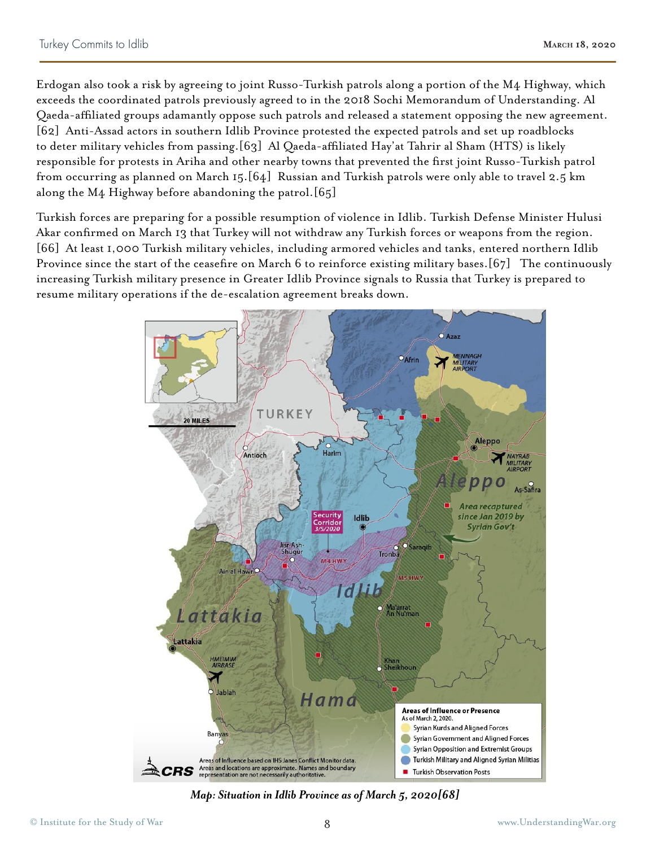Erdogan also took a risk by agreeing to joint Russo-Turkish patrols along a portion of the M4 Highway, which exceeds the coordinated patrols previously agreed to in the 2018 Sochi Memorandum of Understanding. Al Qaeda-affiliated groups adamantly oppose such patrols and released a statement opposing the new agreement. [62] Anti-Assad actors in southern Idlib Province protested the expected patrols and set up roadblocks to deter military vehicles from passing.[63] Al Qaeda-affiliated Hay'at Tahrir al Sham (HTS) is likely responsible for protests in Ariha and other nearby towns that prevented the first joint Russo-Turkish patrol from occurring as planned on March 15.[64] Russian and Turkish patrols were only able to travel 2.5 km along the M4 Highway before abandoning the patrol.[65]

Turkish forces are preparing for a possible resumption of violence in Idlib. Turkish Defense Minister Hulusi Akar confirmed on March 13 that Turkey will not withdraw any Turkish forces or weapons from the region. [66] At least 1,000 Turkish military vehicles, including armored vehicles and tanks, entered northern Idlib Province since the start of the ceasefire on March 6 to reinforce existing military bases.[67] The continuously increasing Turkish military presence in Greater Idlib Province signals to Russia that Turkey is prepared to resume military operations if the de-escalation agreement breaks down.



*Map: Situation in Idlib Province as of March 5, 2020[68]*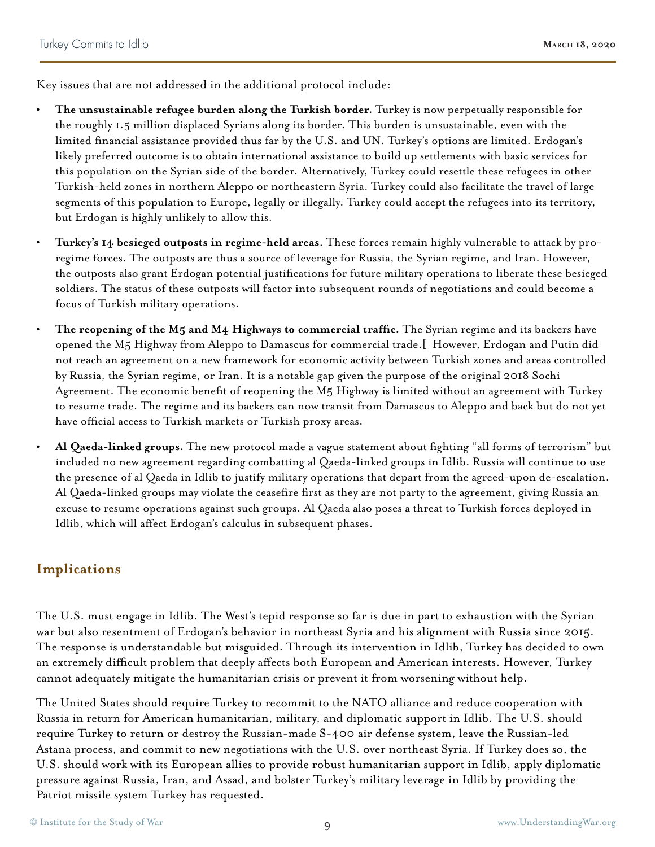Key issues that are not addressed in the additional protocol include:

- **• The unsustainable refugee burden along the Turkish border.** Turkey is now perpetually responsible for the roughly 1.5 million displaced Syrians along its border. This burden is unsustainable, even with the limited financial assistance provided thus far by the U.S. and UN. Turkey's options are limited. Erdogan's likely preferred outcome is to obtain international assistance to build up settlements with basic services for this population on the Syrian side of the border. Alternatively, Turkey could resettle these refugees in other Turkish-held zones in northern Aleppo or northeastern Syria. Turkey could also facilitate the travel of large segments of this population to Europe, legally or illegally. Turkey could accept the refugees into its territory, but Erdogan is highly unlikely to allow this.
	- **• Turkey's 14 besieged outposts in regime-held areas.** These forces remain highly vulnerable to attack by proregime forces. The outposts are thus a source of leverage for Russia, the Syrian regime, and Iran. However, the outposts also grant Erdogan potential justifications for future military operations to liberate these besieged soldiers. The status of these outposts will factor into subsequent rounds of negotiations and could become a focus of Turkish military operations.
- **• The reopening of the M5 and M4 Highways to commercial traffic.** The Syrian regime and its backers have opened the M5 Highway from Aleppo to Damascus for commercial trade.[ However, Erdogan and Putin did not reach an agreement on a new framework for economic activity between Turkish zones and areas controlled by Russia, the Syrian regime, or Iran. It is a notable gap given the purpose of the original 2018 Sochi Agreement. The economic benefit of reopening the M5 Highway is limited without an agreement with Turkey to resume trade. The regime and its backers can now transit from Damascus to Aleppo and back but do not yet have official access to Turkish markets or Turkish proxy areas.
- **• Al Qaeda-linked groups.** The new protocol made a vague statement about fighting "all forms of terrorism" but included no new agreement regarding combatting al Qaeda-linked groups in Idlib. Russia will continue to use the presence of al Qaeda in Idlib to justify military operations that depart from the agreed-upon de-escalation. Al Qaeda-linked groups may violate the ceasefire first as they are not party to the agreement, giving Russia an excuse to resume operations against such groups. Al Qaeda also poses a threat to Turkish forces deployed in Idlib, which will affect Erdogan's calculus in subsequent phases.

## **Implications**

The U.S. must engage in Idlib. The West's tepid response so far is due in part to exhaustion with the Syrian war but also resentment of Erdogan's behavior in northeast Syria and his alignment with Russia since 2015. The response is understandable but misguided. Through its intervention in Idlib, Turkey has decided to own an extremely difficult problem that deeply affects both European and American interests. However, Turkey cannot adequately mitigate the humanitarian crisis or prevent it from worsening without help.

The United States should require Turkey to recommit to the NATO alliance and reduce cooperation with Russia in return for American humanitarian, military, and diplomatic support in Idlib. The U.S. should require Turkey to return or destroy the Russian-made S-400 air defense system, leave the Russian-led Astana process, and commit to new negotiations with the U.S. over northeast Syria. If Turkey does so, the U.S. should work with its European allies to provide robust humanitarian support in Idlib, apply diplomatic pressure against Russia, Iran, and Assad, and bolster Turkey's military leverage in Idlib by providing the Patriot missile system Turkey has requested.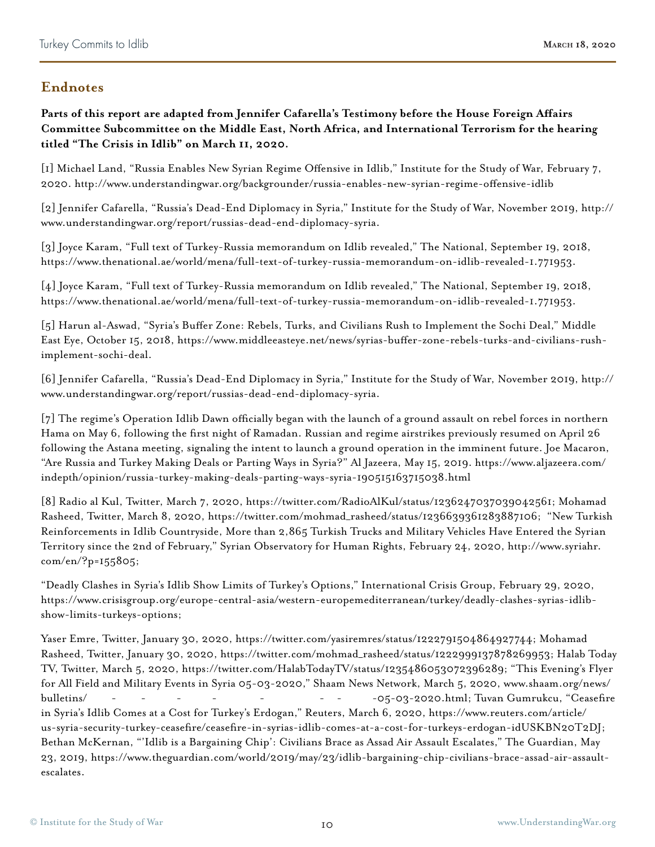## **Endnotes**

**Parts of this report are adapted from Jennifer Cafarella's Testimony before the House Foreign Affairs Committee Subcommittee on the Middle East, North Africa, and International Terrorism for the hearing titled "The Crisis in Idlib" on March 11, 2020.**

[1] Michael Land, "Russia Enables New Syrian Regime Offensive in Idlib," Institute for the Study of War, February 7, 2020. http://www.understandingwar.org/backgrounder/russia-enables-new-syrian-regime-offensive-idlib

[2] Jennifer Cafarella, "Russia's Dead-End Diplomacy in Syria," Institute for the Study of War, November 2019, http:// www.understandingwar.org/report/russias-dead-end-diplomacy-syria.

[3] Joyce Karam, "Full text of Turkey-Russia memorandum on Idlib revealed," The National, September 19, 2018, https://www.thenational.ae/world/mena/full-text-of-turkey-russia-memorandum-on-idlib-revealed-1.771953.

[4] Joyce Karam, "Full text of Turkey-Russia memorandum on Idlib revealed," The National, September 19, 2018, https://www.thenational.ae/world/mena/full-text-of-turkey-russia-memorandum-on-idlib-revealed-1.771953.

[5] Harun al-Aswad, "Syria's Buffer Zone: Rebels, Turks, and Civilians Rush to Implement the Sochi Deal," Middle East Eye, October 15, 2018, https://www.middleeasteye.net/news/syrias-buffer-zone-rebels-turks-and-civilians-rushimplement-sochi-deal.

[6] Jennifer Cafarella, "Russia's Dead-End Diplomacy in Syria," Institute for the Study of War, November 2019, http:// www.understandingwar.org/report/russias-dead-end-diplomacy-syria.

[7] The regime's Operation Idlib Dawn officially began with the launch of a ground assault on rebel forces in northern Hama on May 6, following the first night of Ramadan. Russian and regime airstrikes previously resumed on April 26 following the Astana meeting, signaling the intent to launch a ground operation in the imminent future. Joe Macaron, "Are Russia and Turkey Making Deals or Parting Ways in Syria?" Al Jazeera, May 15, 2019. https://www.aljazeera.com/ indepth/opinion/russia-turkey-making-deals-parting-ways-syria-190515163715038.html

[8] Radio al Kul, Twitter, March 7, 2020, https://twitter.com/RadioAlKul/status/1236247037039042561; Mohamad Rasheed, Twitter, March 8, 2020, https://twitter.com/mohmad\_rasheed/status/1236639361283887106; "New Turkish Reinforcements in Idlib Countryside, More than 2,865 Turkish Trucks and Military Vehicles Have Entered the Syrian Territory since the 2nd of February," Syrian Observatory for Human Rights, February 24, 2020, http://www.syriahr. com/en/?p=155805;

"Deadly Clashes in Syria's Idlib Show Limits of Turkey's Options," International Crisis Group, February 29, 2020, https://www.crisisgroup.org/europe-central-asia/western-europemediterranean/turkey/deadly-clashes-syrias-idlibshow-limits-turkeys-options;

Yaser Emre, Twitter, January 30, 2020, https://twitter.com/yasiremres/status/1222791504864927744; Mohamad Rasheed, Twitter, January 30, 2020, https://twitter.com/mohmad\_rasheed/status/1222999137878269953; Halab Today TV, Twitter, March 5, 2020, https://twitter.com/HalabTodayTV/status/1235486053072396289; "This Evening's Flyer for All Field and Military Events in Syria 05-03-2020," Shaam News Network, March 5, 2020, www.shaam.org/news/ Ceasefire ",Gumrukcu Tuvan; html-05-03-2020.ننننن-نن-نن نننننن-ننننننن-ننننن-ننننن-نننن-نننن/bulletins in Syria's Idlib Comes at a Cost for Turkey's Erdogan," Reuters, March 6, 2020, https://www.reuters.com/article/ us-syria-security-turkey-ceasefire/ceasefire-in-syrias-idlib-comes-at-a-cost-for-turkeys-erdogan-idUSKBN20T2DJ; Bethan McKernan, "'Idlib is a Bargaining Chip': Civilians Brace as Assad Air Assault Escalates," The Guardian, May 23, 2019, https://www.theguardian.com/world/2019/may/23/idlib-bargaining-chip-civilians-brace-assad-air-assaultescalates.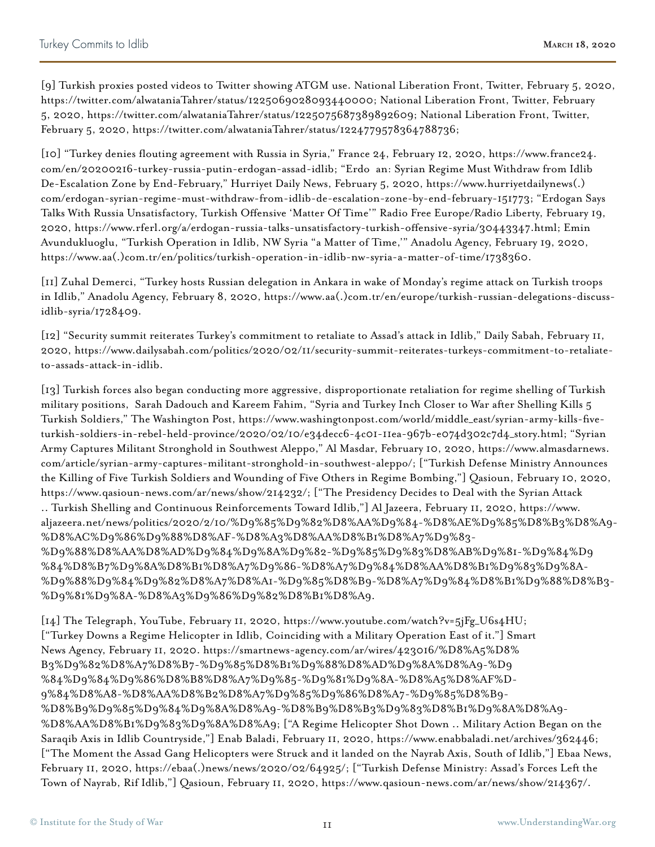[9] Turkish proxies posted videos to Twitter showing ATGM use. National Liberation Front, Twitter, February 5, 2020, https://twitter.com/alwataniaTahrer/status/1225069028093440000; National Liberation Front, Twitter, February 5, 2020, https://twitter.com/alwataniaTahrer/status/1225075687389892609; National Liberation Front, Twitter, February 5, 2020, https://twitter.com/alwataniaTahrer/status/1224779578364788736;

[10] "Turkey denies flouting agreement with Russia in Syria," France 24, February 12, 2020, https://www.france24. com/en/20200216-turkey-russia-putin-erdogan-assad-idlib; "Erdo an: Syrian Regime Must Withdraw from Idlib De-Escalation Zone by End-February," Hurriyet Daily News, February 5, 2020, https://www.hurriyetdailynews(.) com/erdogan-syrian-regime-must-withdraw-from-idlib-de-escalation-zone-by-end-february-151773; "Erdogan Says Talks With Russia Unsatisfactory, Turkish Offensive 'Matter Of Time'" Radio Free Europe/Radio Liberty, February 19, 2020, https://www.rferl.org/a/erdogan-russia-talks-unsatisfactory-turkish-offensive-syria/30443347.html; Emin Avundukluoglu, "Turkish Operation in Idlib, NW Syria "a Matter of Time,'" Anadolu Agency, February 19, 2020, https://www.aa(.)com.tr/en/politics/turkish-operation-in-idlib-nw-syria-a-matter-of-time/1738360.

[11] Zuhal Demerci, "Turkey hosts Russian delegation in Ankara in wake of Monday's regime attack on Turkish troops in Idlib," Anadolu Agency, February 8, 2020, https://www.aa(.)com.tr/en/europe/turkish-russian-delegations-discussidlib-syria/1728409.

[12] "Security summit reiterates Turkey's commitment to retaliate to Assad's attack in Idlib," Daily Sabah, February 11, 2020, https://www.dailysabah.com/politics/2020/02/11/security-summit-reiterates-turkeys-commitment-to-retaliateto-assads-attack-in-idlib.

[13] Turkish forces also began conducting more aggressive, disproportionate retaliation for regime shelling of Turkish military positions, Sarah Dadouch and Kareem Fahim, "Syria and Turkey Inch Closer to War after Shelling Kills 5 Turkish Soldiers," The Washington Post, https://www.washingtonpost.com/world/middle\_east/syrian-army-kills-fiveturkish-soldiers-in-rebel-held-province/2020/02/10/e34decc6-4c01-11ea-967b-e074d302c7d4\_story.html; "Syrian Army Captures Militant Stronghold in Southwest Aleppo," Al Masdar, February 10, 2020, https://www.almasdarnews. com/article/syrian-army-captures-militant-stronghold-in-southwest-aleppo/; ["Turkish Defense Ministry Announces the Killing of Five Turkish Soldiers and Wounding of Five Others in Regime Bombing,"] Qasioun, February 10, 2020, https://www.qasioun-news.com/ar/news/show/214232/; ["The Presidency Decides to Deal with the Syrian Attack .. Turkish Shelling and Continuous Reinforcements Toward Idlib,"] Al Jazeera, February 11, 2020, https://www. aljazeera.net/news/politics/2020/2/10/%D9%85%D9%82%D8%AA%D9%84-%D8%AE%D9%85%D8%B3%D8%A9- %D8%AC%D9%86%D9%88%D8%AF-%D8%A3%D8%AA%D8%B1%D8%A7%D9%83- %D9%88%D8%AA%D8%AD%D9%84%D9%8A%D9%82-%D9%85%D9%83%D8%AB%D9%81-%D9%84%D9 %84%D8%B7%D9%8A%D8%B1%D8%A7%D9%86-%D8%A7%D9%84%D8%AA%D8%B1%D9%83%D9%8A- %D9%88%D9%84%D9%82%D8%A7%D8%A1-%D9%85%D8%B9-%D8%A7%D9%84%D8%B1%D9%88%D8%B3- %D9%81%D9%8A-%D8%A3%D9%86%D9%82%D8%B1%D8%A9.

[14] The Telegraph, YouTube, February 11, 2020, https://www.youtube.com/watch?v=5jFg\_U6s4HU; ["Turkey Downs a Regime Helicopter in Idlib, Coinciding with a Military Operation East of it."] Smart News Agency, February 11, 2020. https://smartnews-agency.com/ar/wires/423016/%D8%A5%D8% B3%D9%82%D8%A7%D8%B7-%D9%85%D8%B1%D9%88%D8%AD%D9%8A%D8%A9-%D9 %84%D9%84%D9%86%D8%B8%D8%A7%D9%85-%D9%81%D9%8A-%D8%A5%D8%AF%D-9%84%D8%A8-%D8%AA%D8%B2%D8%A7%D9%85%D9%86%D8%A7-%D9%85%D8%B9- %D8%B9%D9%85%D9%84%D9%8A%D8%A9-%D8%B9%D8%B3%D9%83%D8%B1%D9%8A%D8%A9- %D8%AA%D8%B1%D9%83%D9%8A%D8%A9; ["A Regime Helicopter Shot Down .. Military Action Began on the Saraqib Axis in Idlib Countryside,"] Enab Baladi, February 11, 2020, https://www.enabbaladi.net/archives/362446; ["The Moment the Assad Gang Helicopters were Struck and it landed on the Nayrab Axis, South of Idlib,"] Ebaa News, February 11, 2020, https://ebaa(.)news/news/2020/02/64925/; ["Turkish Defense Ministry: Assad's Forces Left the Town of Nayrab, Rif Idlib,"] Qasioun, February 11, 2020, https://www.qasioun-news.com/ar/news/show/214367/.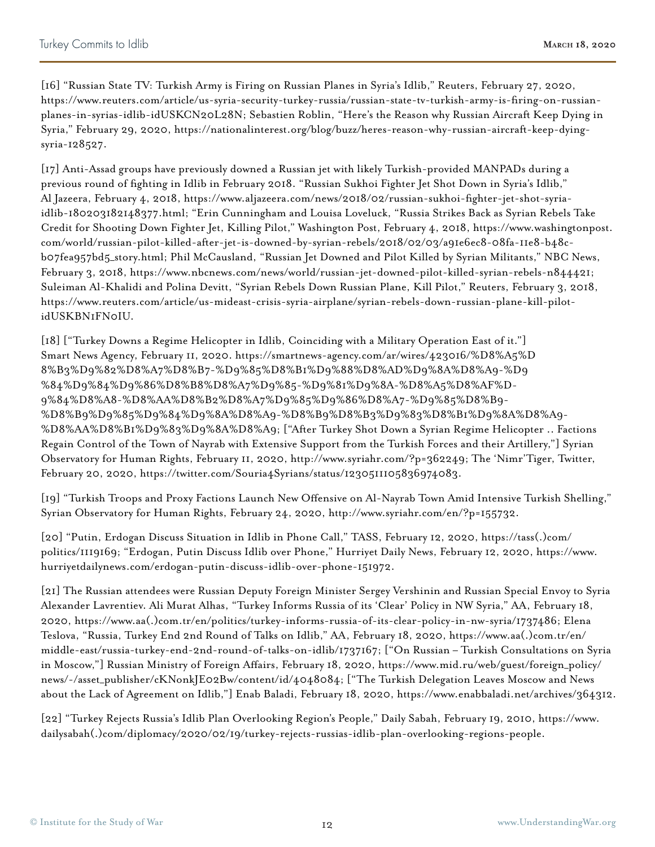[16] "Russian State TV: Turkish Army is Firing on Russian Planes in Syria's Idlib," Reuters, February 27, 2020, https://www.reuters.com/article/us-syria-security-turkey-russia/russian-state-tv-turkish-army-is-firing-on-russianplanes-in-syrias-idlib-idUSKCN20L28N; Sebastien Roblin, "Here's the Reason why Russian Aircraft Keep Dying in Syria," February 29, 2020, https://nationalinterest.org/blog/buzz/heres-reason-why-russian-aircraft-keep-dyingsyria-128527.

[17] Anti-Assad groups have previously downed a Russian jet with likely Turkish-provided MANPADs during a previous round of fighting in Idlib in February 2018. "Russian Sukhoi Fighter Jet Shot Down in Syria's Idlib," Al Jazeera, February 4, 2018, https://www.aljazeera.com/news/2018/02/russian-sukhoi-fighter-jet-shot-syriaidlib-180203182148377.html; "Erin Cunningham and Louisa Loveluck, "Russia Strikes Back as Syrian Rebels Take Credit for Shooting Down Fighter Jet, Killing Pilot," Washington Post, February 4, 2018, https://www.washingtonpost. com/world/russian-pilot-killed-after-jet-is-downed-by-syrian-rebels/2018/02/03/a91e6ec8-08fa-11e8-b48cb07fea957bd5\_story.html; Phil McCausland, "Russian Jet Downed and Pilot Killed by Syrian Militants," NBC News, February 3, 2018, https://www.nbcnews.com/news/world/russian-jet-downed-pilot-killed-syrian-rebels-n844421; Suleiman Al-Khalidi and Polina Devitt, "Syrian Rebels Down Russian Plane, Kill Pilot," Reuters, February 3, 2018, https://www.reuters.com/article/us-mideast-crisis-syria-airplane/syrian-rebels-down-russian-plane-kill-pilotidUSKBN1FN0IU.

[18] ["Turkey Downs a Regime Helicopter in Idlib, Coinciding with a Military Operation East of it."] Smart News Agency, February 11, 2020. https://smartnews-agency.com/ar/wires/423016/%D8%A5%D 8%B3%D9%82%D8%A7%D8%B7-%D9%85%D8%B1%D9%88%D8%AD%D9%8A%D8%A9-%D9 %84%D9%84%D9%86%D8%B8%D8%A7%D9%85-%D9%81%D9%8A-%D8%A5%D8%AF%D-9%84%D8%A8-%D8%AA%D8%B2%D8%A7%D9%85%D9%86%D8%A7-%D9%85%D8%B9- %D8%B9%D9%85%D9%84%D9%8A%D8%A9-%D8%B9%D8%B3%D9%83%D8%B1%D9%8A%D8%A9- %D8%AA%D8%B1%D9%83%D9%8A%D8%A9; ["After Turkey Shot Down a Syrian Regime Helicopter .. Factions Regain Control of the Town of Nayrab with Extensive Support from the Turkish Forces and their Artillery,"] Syrian Observatory for Human Rights, February 11, 2020, http://www.syriahr.com/?p=362249; The 'Nimr'Tiger, Twitter, February 20, 2020, https://twitter.com/Souria4Syrians/status/1230511105836974083.

[19] "Turkish Troops and Proxy Factions Launch New Offensive on Al-Nayrab Town Amid Intensive Turkish Shelling," Syrian Observatory for Human Rights, February 24, 2020, http://www.syriahr.com/en/?p=155732.

[20] "Putin, Erdogan Discuss Situation in Idlib in Phone Call," TASS, February 12, 2020, https://tass(.)com/ politics/1119169; "Erdogan, Putin Discuss Idlib over Phone," Hurriyet Daily News, February 12, 2020, https://www. hurriyetdailynews.com/erdogan-putin-discuss-idlib-over-phone-151972.

[21] The Russian attendees were Russian Deputy Foreign Minister Sergey Vershinin and Russian Special Envoy to Syria Alexander Lavrentiev. Ali Murat Alhas, "Turkey Informs Russia of its 'Clear' Policy in NW Syria," AA, February 18, 2020, https://www.aa(.)com.tr/en/politics/turkey-informs-russia-of-its-clear-policy-in-nw-syria/1737486; Elena Teslova, "Russia, Turkey End 2nd Round of Talks on Idlib," AA, February 18, 2020, https://www.aa(.)com.tr/en/ middle-east/russia-turkey-end-2nd-round-of-talks-on-idlib/1737167; ["On Russian – Turkish Consultations on Syria in Moscow,"] Russian Ministry of Foreign Affairs, February 18, 2020, https://www.mid.ru/web/guest/foreign\_policy/ news/-/asset\_publisher/cKNonkJE02Bw/content/id/4048084; ["The Turkish Delegation Leaves Moscow and News about the Lack of Agreement on Idlib,"] Enab Baladi, February 18, 2020, https://www.enabbaladi.net/archives/364312.

[22] "Turkey Rejects Russia's Idlib Plan Overlooking Region's People," Daily Sabah, February 19, 2010, https://www. dailysabah(.)com/diplomacy/2020/02/19/turkey-rejects-russias-idlib-plan-overlooking-regions-people.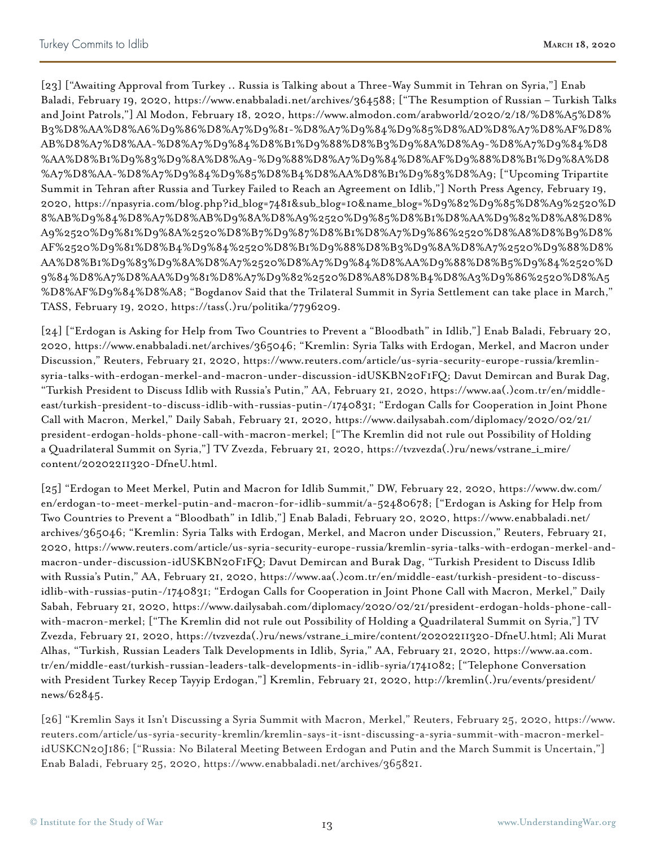[23] ["Awaiting Approval from Turkey .. Russia is Talking about a Three-Way Summit in Tehran on Syria,"] Enab Baladi, February 19, 2020, https://www.enabbaladi.net/archives/364588; ["The Resumption of Russian – Turkish Talks and Joint Patrols,"] Al Modon, February 18, 2020, https://www.almodon.com/arabworld/2020/2/18/%D8%A5%D8% B3%D8%AA%D8%A6%D9%86%D8%A7%D9%81-%D8%A7%D9%84%D9%85%D8%AD%D8%A7%D8%AF%D8% AB%D8%A7%D8%AA-%D8%A7%D9%84%D8%B1%D9%88%D8%B3%D9%8A%D8%A9-%D8%A7%D9%84%D8 %AA%D8%B1%D9%83%D9%8A%D8%A9-%D9%88%D8%A7%D9%84%D8%AF%D9%88%D8%B1%D9%8A%D8 %A7%D8%AA-%D8%A7%D9%84%D9%85%D8%B4%D8%AA%D8%B1%D9%83%D8%A9; ["Upcoming Tripartite Summit in Tehran after Russia and Turkey Failed to Reach an Agreement on Idlib,"] North Press Agency, February 19, 2020, https://npasyria.com/blog.php?id\_blog=7481&sub\_blog=10&name\_blog=%D9%82%D9%85%D8%A9%2520%D 8%AB%D9%84%D8%A7%D8%AB%D9%8A%D8%A9%2520%D9%85%D8%B1%D8%AA%D9%82%D8%A8%D8% A9%2520%D9%81%D9%8A%2520%D8%B7%D9%87%D8%B1%D8%A7%D9%86%2520%D8%A8%D8%B9%D8% AF%2520%D9%81%D8%B4%D9%84%2520%D8%B1%D9%88%D8%B3%D9%8A%D8%A7%2520%D9%88%D8% AA%D8%B1%D9%83%D9%8A%D8%A7%2520%D8%A7%D9%84%D8%AA%D9%88%D8%B5%D9%84%2520%D 9%84%D8%A7%D8%AA%D9%81%D8%A7%D9%82%2520%D8%A8%D8%B4%D8%A3%D9%86%2520%D8%A5 %D8%AF%D9%84%D8%A8; "Bogdanov Said that the Trilateral Summit in Syria Settlement can take place in March," TASS, February 19, 2020, https://tass(.)ru/politika/7796209.

[24] ["Erdogan is Asking for Help from Two Countries to Prevent a "Bloodbath" in Idlib,"] Enab Baladi, February 20, 2020, https://www.enabbaladi.net/archives/365046; "Kremlin: Syria Talks with Erdogan, Merkel, and Macron under Discussion," Reuters, February 21, 2020, https://www.reuters.com/article/us-syria-security-europe-russia/kremlinsyria-talks-with-erdogan-merkel-and-macron-under-discussion-idUSKBN20F1FQ; Davut Demircan and Burak Dag, "Turkish President to Discuss Idlib with Russia's Putin," AA, February 21, 2020, https://www.aa(.)com.tr/en/middleeast/turkish-president-to-discuss-idlib-with-russias-putin-/1740831; "Erdogan Calls for Cooperation in Joint Phone Call with Macron, Merkel," Daily Sabah, February 21, 2020, https://www.dailysabah.com/diplomacy/2020/02/21/ president-erdogan-holds-phone-call-with-macron-merkel; ["The Kremlin did not rule out Possibility of Holding a Quadrilateral Summit on Syria,"] TV Zvezda, February 21, 2020, https://tvzvezda(.)ru/news/vstrane\_i\_mire/ content/20202211320-DfneU.html.

[25] "Erdogan to Meet Merkel, Putin and Macron for Idlib Summit," DW, February 22, 2020, https://www.dw.com/ en/erdogan-to-meet-merkel-putin-and-macron-for-idlib-summit/a-52480678; ["Erdogan is Asking for Help from Two Countries to Prevent a "Bloodbath" in Idlib,"] Enab Baladi, February 20, 2020, https://www.enabbaladi.net/ archives/365046; "Kremlin: Syria Talks with Erdogan, Merkel, and Macron under Discussion," Reuters, February 21, 2020, https://www.reuters.com/article/us-syria-security-europe-russia/kremlin-syria-talks-with-erdogan-merkel-andmacron-under-discussion-idUSKBN20F1FQ; Davut Demircan and Burak Dag, "Turkish President to Discuss Idlib with Russia's Putin," AA, February 21, 2020, https://www.aa(.)com.tr/en/middle-east/turkish-president-to-discussidlib-with-russias-putin-/1740831; "Erdogan Calls for Cooperation in Joint Phone Call with Macron, Merkel," Daily Sabah, February 21, 2020, https://www.dailysabah.com/diplomacy/2020/02/21/president-erdogan-holds-phone-callwith-macron-merkel; ["The Kremlin did not rule out Possibility of Holding a Quadrilateral Summit on Syria,"] TV Zvezda, February 21, 2020, https://tvzvezda(.)ru/news/vstrane\_i\_mire/content/20202211320-DfneU.html; Ali Murat Alhas, "Turkish, Russian Leaders Talk Developments in Idlib, Syria," AA, February 21, 2020, https://www.aa.com. tr/en/middle-east/turkish-russian-leaders-talk-developments-in-idlib-syria/1741082; ["Telephone Conversation with President Turkey Recep Tayyip Erdogan,"] Kremlin, February 21, 2020, http://kremlin(.)ru/events/president/ news/62845.

[26] "Kremlin Says it Isn't Discussing a Syria Summit with Macron, Merkel," Reuters, February 25, 2020, https://www. reuters.com/article/us-syria-security-kremlin/kremlin-says-it-isnt-discussing-a-syria-summit-with-macron-merkelidUSKCN20J186; ["Russia: No Bilateral Meeting Between Erdogan and Putin and the March Summit is Uncertain,"] Enab Baladi, February 25, 2020, https://www.enabbaladi.net/archives/365821.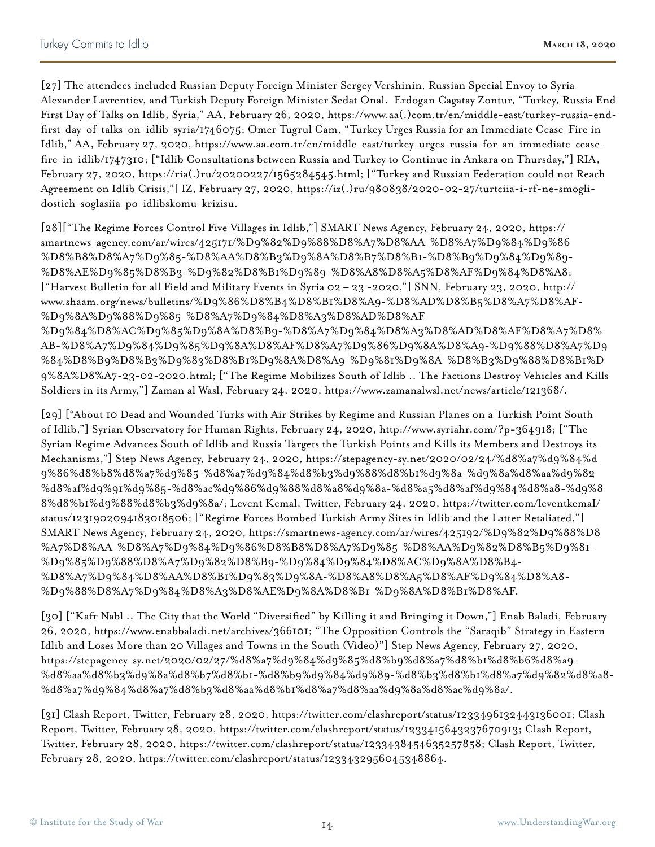[27] The attendees included Russian Deputy Foreign Minister Sergey Vershinin, Russian Special Envoy to Syria Alexander Lavrentiev, and Turkish Deputy Foreign Minister Sedat Onal. Erdogan Cagatay Zontur, "Turkey, Russia End First Day of Talks on Idlib, Syria," AA, February 26, 2020, https://www.aa(.)com.tr/en/middle-east/turkey-russia-endfirst-day-of-talks-on-idlib-syria/1746075; Omer Tugrul Cam, "Turkey Urges Russia for an Immediate Cease-Fire in Idlib," AA, February 27, 2020, https://www.aa.com.tr/en/middle-east/turkey-urges-russia-for-an-immediate-ceasefire-in-idlib/1747310; ["Idlib Consultations between Russia and Turkey to Continue in Ankara on Thursday,"] RIA, February 27, 2020, https://ria(.)ru/20200227/1565284545.html; ["Turkey and Russian Federation could not Reach Agreement on Idlib Crisis,"] IZ, February 27, 2020, https://iz(.)ru/980838/2020-02-27/turtciia-i-rf-ne-smoglidostich-soglasiia-po-idlibskomu-krizisu.

[28]["The Regime Forces Control Five Villages in Idlib,"] SMART News Agency, February 24, 2020, https:// smartnews-agency.com/ar/wires/425171/%D9%82%D9%88%D8%A7%D8%AA-%D8%A7%D9%84%D9%86 %D8%B8%D8%A7%D9%85-%D8%AA%D8%B3%D9%8A%D8%B7%D8%B1-%D8%B9%D9%84%D9%89- %D8%AE%D9%85%D8%B3-%D9%82%D8%B1%D9%89-%D8%A8%D8%A5%D8%AF%D9%84%D8%A8; ["Harvest Bulletin for all Field and Military Events in Syria 02 – 23 -2020,"] SNN, February 23, 2020, http:// www.shaam.org/news/bulletins/%D9%86%D8%B4%D8%B1%D8%A9-%D8%AD%D8%B5%D8%A7%D8%AF- %D9%8A%D9%88%D9%85-%D8%A7%D9%84%D8%A3%D8%AD%D8%AF- %D9%84%D8%AC%D9%85%D9%8A%D8%B9-%D8%A7%D9%84%D8%A3%D8%AD%D8%AF%D8%A7%D8% AB-%D8%A7%D9%84%D9%85%D9%8A%D8%AF%D8%A7%D9%86%D9%8A%D8%A9-%D9%88%D8%A7%D9 %84%D8%B9%D8%B3%D9%83%D8%B1%D9%8A%D8%A9-%D9%81%D9%8A-%D8%B3%D9%88%D8%B1%D 9%8A%D8%A7-23-02-2020.html; ["The Regime Mobilizes South of Idlib .. The Factions Destroy Vehicles and Kills Soldiers in its Army,"] Zaman al Wasl, February 24, 2020, https://www.zamanalwsl.net/news/article/121368/.

[29] ["About 10 Dead and Wounded Turks with Air Strikes by Regime and Russian Planes on a Turkish Point South of Idlib,"] Syrian Observatory for Human Rights, February 24, 2020, http://www.syriahr.com/?p=364918; ["The Syrian Regime Advances South of Idlib and Russia Targets the Turkish Points and Kills its Members and Destroys its Mechanisms,"] Step News Agency, February 24, 2020, https://stepagency-sy.net/2020/02/24/%d8%a7%d9%84%d 9%86%d8%b8%d8%a7%d9%85-%d8%a7%d9%84%d8%b3%d9%88%d8%b1%d9%8a-%d9%8a%d8%aa%d9%82 %d8%af%d9%91%d9%85-%d8%ac%d9%86%d9%88%d8%a8%d9%8a-%d8%a5%d8%af%d9%84%d8%a8-%d9%8 8%d8%b1%d9%88%d8%b3%d9%8a/; Levent Kemal, Twitter, February 24, 2020, https://twitter.com/leventkemaI/ status/1231902094183018506; ["Regime Forces Bombed Turkish Army Sites in Idlib and the Latter Retaliated,"] SMART News Agency, February 24, 2020, https://smartnews-agency.com/ar/wires/425192/%D9%82%D9%88%D8 %A7%D8%AA-%D8%A7%D9%84%D9%86%D8%B8%D8%A7%D9%85-%D8%AA%D9%82%D8%B5%D9%81- %D9%85%D9%88%D8%A7%D9%82%D8%B9-%D9%84%D9%84%D8%AC%D9%8A%D8%B4- %D8%A7%D9%84%D8%AA%D8%B1%D9%83%D9%8A-%D8%A8%D8%A5%D8%AF%D9%84%D8%A8- %D9%88%D8%A7%D9%84%D8%A3%D8%AE%D9%8A%D8%B1-%D9%8A%D8%B1%D8%AF.

[30] ["Kafr Nabl .. The City that the World "Diversified" by Killing it and Bringing it Down,"] Enab Baladi, February 26, 2020, https://www.enabbaladi.net/archives/366101; "The Opposition Controls the "Saraqib" Strategy in Eastern Idlib and Loses More than 20 Villages and Towns in the South (Video)"] Step News Agency, February 27, 2020, https://stepagency-sy.net/2020/02/27/%d8%a7%d9%84%d9%85%d8%b9%d8%a7%d8%b1%d8%b6%d8%a9- %d8%aa%d8%b3%d9%8a%d8%b7%d8%b1-%d8%b9%d9%84%d9%89-%d8%b3%d8%b1%d8%a7%d9%82%d8%a8- %d8%a7%d9%84%d8%a7%d8%b3%d8%aa%d8%b1%d8%a7%d8%aa%d9%8a%d8%ac%d9%8a/.

[31] Clash Report, Twitter, February 28, 2020, https://twitter.com/clashreport/status/1233496132443136001; Clash Report, Twitter, February 28, 2020, https://twitter.com/clashreport/status/1233415643237670913; Clash Report, Twitter, February 28, 2020, https://twitter.com/clashreport/status/1233438454635257858; Clash Report, Twitter, February 28, 2020, https://twitter.com/clashreport/status/1233432956045348864.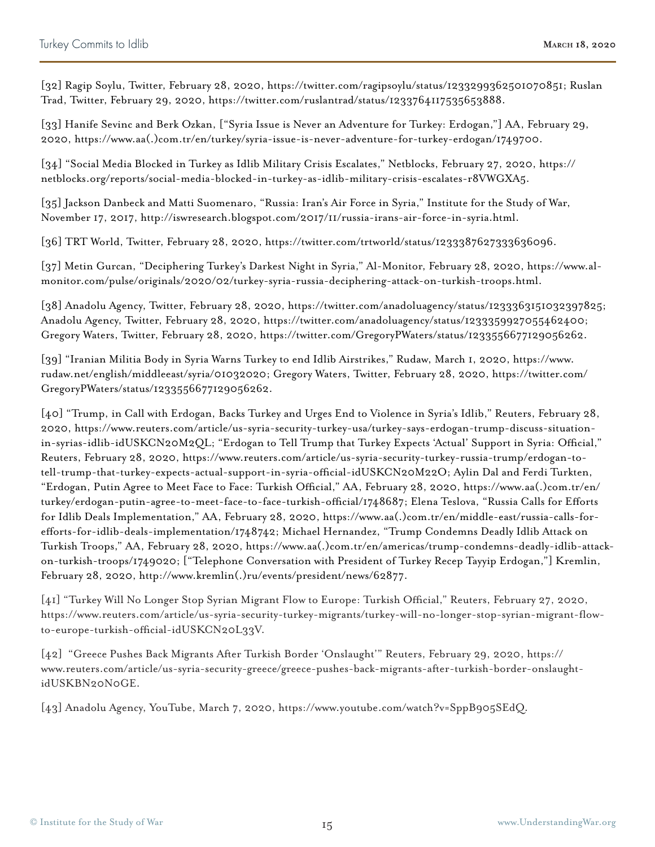[32] Ragip Soylu, Twitter, February 28, 2020, https://twitter.com/ragipsoylu/status/1233299362501070851; Ruslan Trad, Twitter, February 29, 2020, https://twitter.com/ruslantrad/status/1233764117535653888.

[33] Hanife Sevinc and Berk Ozkan, ["Syria Issue is Never an Adventure for Turkey: Erdogan,"] AA, February 29, 2020, https://www.aa(.)com.tr/en/turkey/syria-issue-is-never-adventure-for-turkey-erdogan/1749700.

[34] "Social Media Blocked in Turkey as Idlib Military Crisis Escalates," Netblocks, February 27, 2020, https:// netblocks.org/reports/social-media-blocked-in-turkey-as-idlib-military-crisis-escalates-r8VWGXA5.

[35] Jackson Danbeck and Matti Suomenaro, "Russia: Iran's Air Force in Syria," Institute for the Study of War, November 17, 2017, http://iswresearch.blogspot.com/2017/11/russia-irans-air-force-in-syria.html.

[36] TRT World, Twitter, February 28, 2020, https://twitter.com/trtworld/status/1233387627333636096.

[37] Metin Gurcan, "Deciphering Turkey's Darkest Night in Syria," Al-Monitor, February 28, 2020, https://www.almonitor.com/pulse/originals/2020/02/turkey-syria-russia-deciphering-attack-on-turkish-troops.html.

[38] Anadolu Agency, Twitter, February 28, 2020, https://twitter.com/anadoluagency/status/1233363151032397825; Anadolu Agency, Twitter, February 28, 2020, https://twitter.com/anadoluagency/status/1233359927055462400; Gregory Waters, Twitter, February 28, 2020, https://twitter.com/GregoryPWaters/status/1233556677129056262.

[39] "Iranian Militia Body in Syria Warns Turkey to end Idlib Airstrikes," Rudaw, March 1, 2020, https://www. rudaw.net/english/middleeast/syria/01032020; Gregory Waters, Twitter, February 28, 2020, https://twitter.com/ GregoryPWaters/status/1233556677129056262.

[40] "Trump, in Call with Erdogan, Backs Turkey and Urges End to Violence in Syria's Idlib," Reuters, February 28, 2020, https://www.reuters.com/article/us-syria-security-turkey-usa/turkey-says-erdogan-trump-discuss-situationin-syrias-idlib-idUSKCN20M2QL; "Erdogan to Tell Trump that Turkey Expects 'Actual' Support in Syria: Official," Reuters, February 28, 2020, https://www.reuters.com/article/us-syria-security-turkey-russia-trump/erdogan-totell-trump-that-turkey-expects-actual-support-in-syria-official-idUSKCN20M22O; Aylin Dal and Ferdi Turkten, "Erdogan, Putin Agree to Meet Face to Face: Turkish Official," AA, February 28, 2020, https://www.aa(.)com.tr/en/ turkey/erdogan-putin-agree-to-meet-face-to-face-turkish-official/1748687; Elena Teslova, "Russia Calls for Efforts for Idlib Deals Implementation," AA, February 28, 2020, https://www.aa(.)com.tr/en/middle-east/russia-calls-forefforts-for-idlib-deals-implementation/1748742; Michael Hernandez, "Trump Condemns Deadly Idlib Attack on Turkish Troops," AA, February 28, 2020, https://www.aa(.)com.tr/en/americas/trump-condemns-deadly-idlib-attackon-turkish-troops/1749020; ["Telephone Conversation with President of Turkey Recep Tayyip Erdogan,"] Kremlin, February 28, 2020, http://www.kremlin(.)ru/events/president/news/62877.

[41] "Turkey Will No Longer Stop Syrian Migrant Flow to Europe: Turkish Official," Reuters, February 27, 2020, https://www.reuters.com/article/us-syria-security-turkey-migrants/turkey-will-no-longer-stop-syrian-migrant-flowto-europe-turkish-official-idUSKCN20L33V.

[42] "Greece Pushes Back Migrants After Turkish Border 'Onslaught'" Reuters, February 29, 2020, https:// www.reuters.com/article/us-syria-security-greece/greece-pushes-back-migrants-after-turkish-border-onslaughtidUSKBN20N0GE.

[43] Anadolu Agency, YouTube, March 7, 2020, https://www.youtube.com/watch?v=SppB905SEdQ.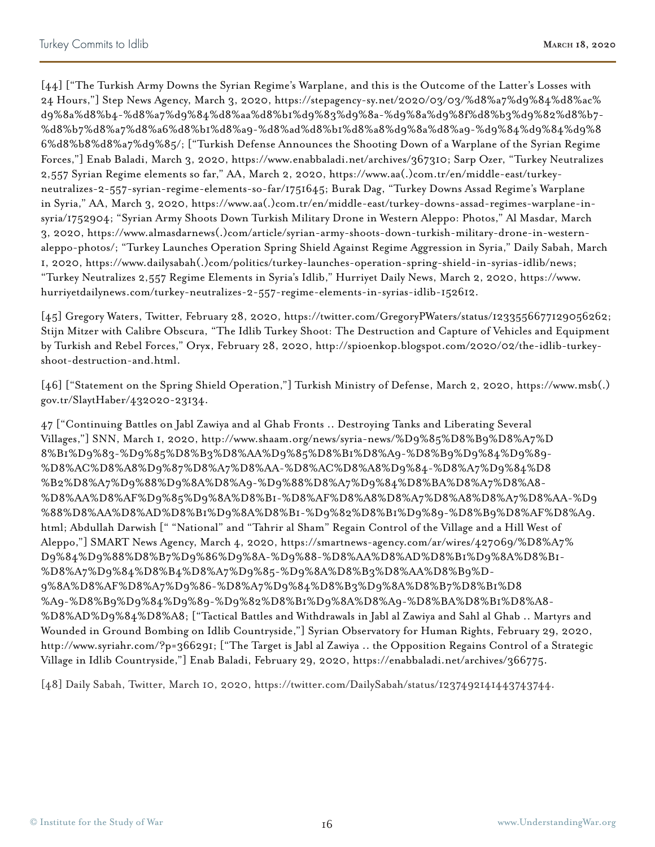[44] ["The Turkish Army Downs the Syrian Regime's Warplane, and this is the Outcome of the Latter's Losses with 24 Hours,"] Step News Agency, March 3, 2020, https://stepagency-sy.net/2020/03/03/%d8%a7%d9%84%d8%ac% d9%8a%d8%b4-%d8%a7%d9%84%d8%aa%d8%b1%d9%83%d9%8a-%d9%8a%d9%8f%d8%b3%d9%82%d8%b7- %d8%b7%d8%a7%d8%a6%d8%b1%d8%a9-%d8%ad%d8%b1%d8%a8%d9%8a%d8%a9-%d9%84%d9%84%d9%8 6%d8%b8%d8%a7%d9%85/; ["Turkish Defense Announces the Shooting Down of a Warplane of the Syrian Regime Forces,"] Enab Baladi, March 3, 2020, https://www.enabbaladi.net/archives/367310; Sarp Ozer, "Turkey Neutralizes 2,557 Syrian Regime elements so far," AA, March 2, 2020, https://www.aa(.)com.tr/en/middle-east/turkeyneutralizes-2-557-syrian-regime-elements-so-far/1751645; Burak Dag, "Turkey Downs Assad Regime's Warplane in Syria," AA, March 3, 2020, https://www.aa(.)com.tr/en/middle-east/turkey-downs-assad-regimes-warplane-insyria/1752904; "Syrian Army Shoots Down Turkish Military Drone in Western Aleppo: Photos," Al Masdar, March 3, 2020, https://www.almasdarnews(.)com/article/syrian-army-shoots-down-turkish-military-drone-in-westernaleppo-photos/; "Turkey Launches Operation Spring Shield Against Regime Aggression in Syria," Daily Sabah, March 1, 2020, https://www.dailysabah(.)com/politics/turkey-launches-operation-spring-shield-in-syrias-idlib/news; "Turkey Neutralizes 2,557 Regime Elements in Syria's Idlib," Hurriyet Daily News, March 2, 2020, https://www. hurriyetdailynews.com/turkey-neutralizes-2-557-regime-elements-in-syrias-idlib-152612.

[45] Gregory Waters, Twitter, February 28, 2020, https://twitter.com/GregoryPWaters/status/1233556677129056262; Stijn Mitzer with Calibre Obscura, "The Idlib Turkey Shoot: The Destruction and Capture of Vehicles and Equipment by Turkish and Rebel Forces," Oryx, February 28, 2020, http://spioenkop.blogspot.com/2020/02/the-idlib-turkeyshoot-destruction-and.html.

[46] ["Statement on the Spring Shield Operation,"] Turkish Ministry of Defense, March 2, 2020, https://www.msb(.) gov.tr/SlaytHaber/432020-23134.

47 ["Continuing Battles on Jabl Zawiya and al Ghab Fronts .. Destroying Tanks and Liberating Several Villages,"] SNN, March 1, 2020, http://www.shaam.org/news/syria-news/%D9%85%D8%B9%D8%A7%D 8%B1%D9%83-%D9%85%D8%B3%D8%AA%D9%85%D8%B1%D8%A9-%D8%B9%D9%84%D9%89- %D8%AC%D8%A8%D9%87%D8%A7%D8%AA-%D8%AC%D8%A8%D9%84-%D8%A7%D9%84%D8 %B2%D8%A7%D9%88%D9%8A%D8%A9-%D9%88%D8%A7%D9%84%D8%BA%D8%A7%D8%A8- %D8%AA%D8%AF%D9%85%D9%8A%D8%B1-%D8%AF%D8%A8%D8%A7%D8%A8%D8%A7%D8%AA-%D9 %88%D8%AA%D8%AD%D8%B1%D9%8A%D8%B1-%D9%82%D8%B1%D9%89-%D8%B9%D8%AF%D8%A9. html; Abdullah Darwish [" "National" and "Tahrir al Sham" Regain Control of the Village and a Hill West of Aleppo,"] SMART News Agency, March 4, 2020, https://smartnews-agency.com/ar/wires/427069/%D8%A7% D9%84%D9%88%D8%B7%D9%86%D9%8A-%D9%88-%D8%AA%D8%AD%D8%B1%D9%8A%D8%B1- %D8%A7%D9%84%D8%B4%D8%A7%D9%85-%D9%8A%D8%B3%D8%AA%D8%B9%D-9%8A%D8%AF%D8%A7%D9%86-%D8%A7%D9%84%D8%B3%D9%8A%D8%B7%D8%B1%D8 %A9-%D8%B9%D9%84%D9%89-%D9%82%D8%B1%D9%8A%D8%A9-%D8%BA%D8%B1%D8%A8- %D8%AD%D9%84%D8%A8; ["Tactical Battles and Withdrawals in Jabl al Zawiya and Sahl al Ghab .. Martyrs and Wounded in Ground Bombing on Idlib Countryside,"] Syrian Observatory for Human Rights, February 29, 2020, http://www.syriahr.com/?p=366291; ["The Target is Jabl al Zawiya .. the Opposition Regains Control of a Strategic Village in Idlib Countryside,"] Enab Baladi, February 29, 2020, https://enabbaladi.net/archives/366775.

[48] Daily Sabah, Twitter, March 10, 2020, https://twitter.com/DailySabah/status/1237492141443743744.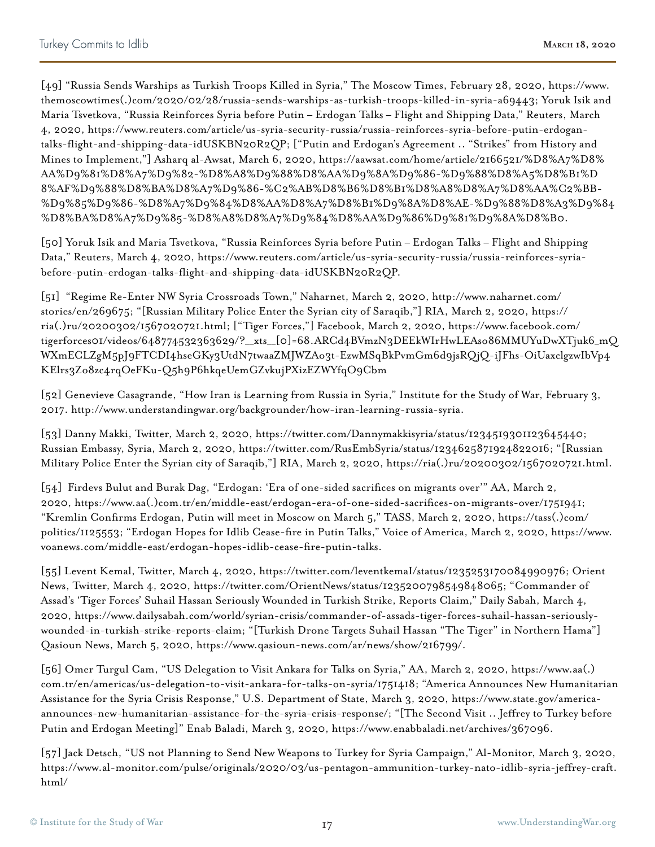[49] "Russia Sends Warships as Turkish Troops Killed in Syria," The Moscow Times, February 28, 2020, https://www. themoscowtimes(.)com/2020/02/28/russia-sends-warships-as-turkish-troops-killed-in-syria-a69443; Yoruk Isik and Maria Tsvetkova, "Russia Reinforces Syria before Putin – Erdogan Talks – Flight and Shipping Data," Reuters, March 4, 2020, https://www.reuters.com/article/us-syria-security-russia/russia-reinforces-syria-before-putin-erdogantalks-flight-and-shipping-data-idUSKBN20R2QP; ["Putin and Erdogan's Agreement .. "Strikes" from History and Mines to Implement,"] Asharq al-Awsat, March 6, 2020, https://aawsat.com/home/article/2166521/%D8%A7%D8% AA%D9%81%D8%A7%D9%82-%D8%A8%D9%88%D8%AA%D9%8A%D9%86-%D9%88%D8%A5%D8%B1%D 8%AF%D9%88%D8%BA%D8%A7%D9%86-%C2%AB%D8%B6%D8%B1%D8%A8%D8%A7%D8%AA%C2%BB- %D9%85%D9%86-%D8%A7%D9%84%D8%AA%D8%A7%D8%B1%D9%8A%D8%AE-%D9%88%D8%A3%D9%84 %D8%BA%D8%A7%D9%85-%D8%A8%D8%A7%D9%84%D8%AA%D9%86%D9%81%D9%8A%D8%B0.

[50] Yoruk Isik and Maria Tsvetkova, "Russia Reinforces Syria before Putin – Erdogan Talks – Flight and Shipping Data," Reuters, March 4, 2020, https://www.reuters.com/article/us-syria-security-russia/russia-reinforces-syriabefore-putin-erdogan-talks-flight-and-shipping-data-idUSKBN20R2QP.

[51] "Regime Re-Enter NW Syria Crossroads Town," Naharnet, March 2, 2020, http://www.naharnet.com/ stories/en/269675; "[Russian Military Police Enter the Syrian city of Saraqib,"] RIA, March 2, 2020, https:// ria(.)ru/20200302/1567020721.html; ["Tiger Forces,"] Facebook, March 2, 2020, https://www.facebook.com/ tigerforces01/videos/648774532363629/?\_\_xts\_\_[0]=68.ARCd4BVmzN3DEEkWIrHwLEAso86MMUYuDwXTjuk6\_mQ WXmECLZgM5pJ9FTCDI4hseGKy3UtdN7twaaZMJWZAo3t-EzwMSqBkPvmGm6d9jsRQjQ-iJFhs-OiUaxclgzwIbVp4 KElrs3Zo8zc4rqOeFKu-Q5h9P6hkqeUemGZvkujPXizEZWYfqO9Cbm

[52] Genevieve Casagrande, "How Iran is Learning from Russia in Syria," Institute for the Study of War, February 3, 2017. http://www.understandingwar.org/backgrounder/how-iran-learning-russia-syria.

[53] Danny Makki, Twitter, March 2, 2020, https://twitter.com/Dannymakkisyria/status/1234519301123645440; Russian Embassy, Syria, March 2, 2020, https://twitter.com/RusEmbSyria/status/1234625871924822016; "[Russian Military Police Enter the Syrian city of Saraqib,"] RIA, March 2, 2020, https://ria(.)ru/20200302/1567020721.html.

[54] Firdevs Bulut and Burak Dag, "Erdogan: 'Era of one-sided sacrifices on migrants over'" AA, March 2, 2020, https://www.aa(.)com.tr/en/middle-east/erdogan-era-of-one-sided-sacrifices-on-migrants-over/1751941; "Kremlin Confirms Erdogan, Putin will meet in Moscow on March 5," TASS, March 2, 2020, https://tass(.)com/ politics/1125553; "Erdogan Hopes for Idlib Cease-fire in Putin Talks," Voice of America, March 2, 2020, https://www. voanews.com/middle-east/erdogan-hopes-idlib-cease-fire-putin-talks.

[55] Levent Kemal, Twitter, March 4, 2020, https://twitter.com/leventkemaI/status/1235253170084990976; Orient News, Twitter, March 4, 2020, https://twitter.com/OrientNews/status/1235200798549848065; "Commander of Assad's 'Tiger Forces' Suhail Hassan Seriously Wounded in Turkish Strike, Reports Claim," Daily Sabah, March 4, 2020, https://www.dailysabah.com/world/syrian-crisis/commander-of-assads-tiger-forces-suhail-hassan-seriouslywounded-in-turkish-strike-reports-claim; "[Turkish Drone Targets Suhail Hassan "The Tiger" in Northern Hama"] Qasioun News, March 5, 2020, https://www.qasioun-news.com/ar/news/show/216799/.

[56] Omer Turgul Cam, "US Delegation to Visit Ankara for Talks on Syria," AA, March 2, 2020, https://www.aa(.) com.tr/en/americas/us-delegation-to-visit-ankara-for-talks-on-syria/1751418; "America Announces New Humanitarian Assistance for the Syria Crisis Response," U.S. Department of State, March 3, 2020, https://www.state.gov/americaannounces-new-humanitarian-assistance-for-the-syria-crisis-response/; "[The Second Visit .. Jeffrey to Turkey before Putin and Erdogan Meeting]" Enab Baladi, March 3, 2020, https://www.enabbaladi.net/archives/367096.

[57] Jack Detsch, "US not Planning to Send New Weapons to Turkey for Syria Campaign," Al-Monitor, March 3, 2020, https://www.al-monitor.com/pulse/originals/2020/03/us-pentagon-ammunition-turkey-nato-idlib-syria-jeffrey-craft. html/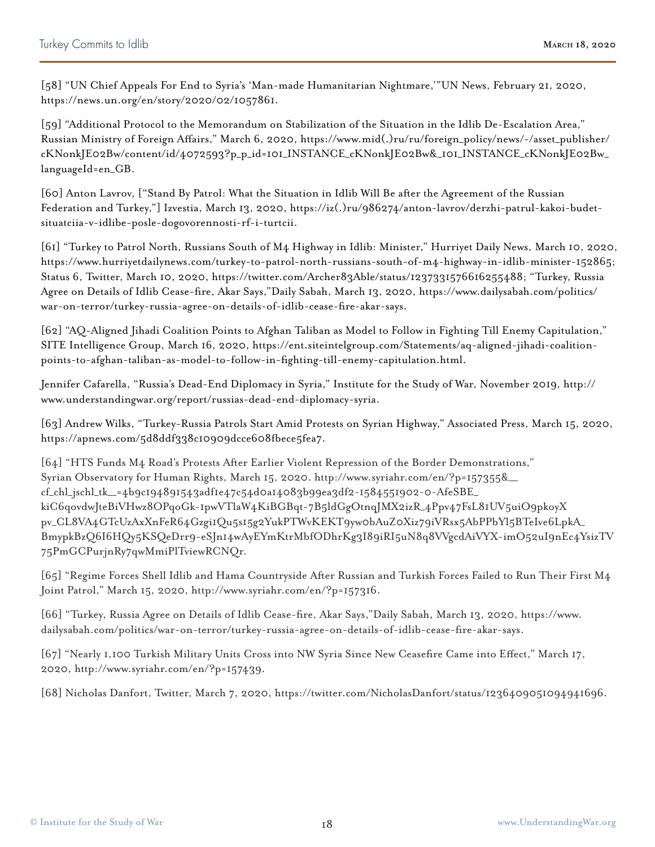[58] "UN Chief Appeals For End to Syria's 'Man-made Humanitarian Nightmare,'"UN News, February 21, 2020, https://news.un.org/en/story/2020/02/1057861.

[59] "Additional Protocol to the Memorandum on Stabilization of the Situation in the Idlib De-Escalation Area," Russian Ministry of Foreign Affairs," March 6, 2020, https://www.mid(.)ru/ru/foreign\_policy/news/-/asset\_publisher/ cKNonkJE02Bw/content/id/4072593?p\_p\_id=101\_INSTANCE\_cKNonkJE02Bw&\_101\_INSTANCE\_cKNonkJE02Bw\_ languageId=en\_GB.

[60] Anton Lavrov, ["Stand By Patrol: What the Situation in Idlib Will Be after the Agreement of the Russian Federation and Turkey,"] Izvestia, March 13, 2020, https://iz(.)ru/986274/anton-lavrov/derzhi-patrul-kakoi-budetsituatciia-v-idlibe-posle-dogovorennosti-rf-i-turtcii.

[61] "Turkey to Patrol North, Russians South of M4 Highway in Idlib: Minister," Hurriyet Daily News, March 10, 2020, https://www.hurriyetdailynews.com/turkey-to-patrol-north-russians-south-of-m4-highway-in-idlib-minister-152865; Status 6, Twitter, March 10, 2020, https://twitter.com/Archer83Able/status/1237331576616255488; "Turkey, Russia Agree on Details of Idlib Cease-fire, Akar Says,"Daily Sabah, March 13, 2020, https://www.dailysabah.com/politics/ war-on-terror/turkey-russia-agree-on-details-of-idlib-cease-fire-akar-says.

[62] "AQ-Aligned Jihadi Coalition Points to Afghan Taliban as Model to Follow in Fighting Till Enemy Capitulation," SITE Intelligence Group, March 16, 2020, https://ent.siteintelgroup.com/Statements/aq-aligned-jihadi-coalitionpoints-to-afghan-taliban-as-model-to-follow-in-fighting-till-enemy-capitulation.html.

Jennifer Cafarella, "Russia's Dead-End Diplomacy in Syria," Institute for the Study of War, November 2019, http:// www.understandingwar.org/report/russias-dead-end-diplomacy-syria.

[63] Andrew Wilks, "Turkey-Russia Patrols Start Amid Protests on Syrian Highway," Associated Press, March 15, 2020, https://apnews.com/5d8ddf338c10909dcce608fbece5fea7.

[64] "HTS Funds M4 Road's Protests After Earlier Violent Repression of the Border Demonstrations," Syrian Observatory for Human Rights, March 15, 2020. http://www.syriahr.com/en/?p=157355&\_\_ cf\_chl\_jschl\_tk\_\_=4b9c194891543adf1e47c54d0a14083b99ea3df2-1584551902-0-AfeSBE\_ kiC6qovdwJteBiVHwz8OPqoGk-1pwVTlaW4KiBGBqt-7B5ldGgOtnqJMX2izR\_4Ppv47FsL81UV5uiO9pkoyX pv\_CL8VA4GTcUzAxXnFeR64Gzgi1Qu5s15g2YukPTWvKEKT9yw0bAuZ0Xiz79iVRsx5AbPPbYl5BTeIve6LpkA\_ BmypkBzQ6I6HQy5KSQeDrr9-eSJn14wAyEYmKtrMbfODhrKg3I89iRI5uN8q8VVgcdAiVYX-imO52uI9nEc4YsizTV 75PmGCPurjnRy7qwMmiPlTviewRCNQr.

[65] "Regime Forces Shell Idlib and Hama Countryside After Russian and Turkish Forces Failed to Run Their First M4 Joint Patrol," March 15, 2020, http://www.syriahr.com/en/?p=157316.

[66] "Turkey, Russia Agree on Details of Idlib Cease-fire, Akar Says,"Daily Sabah, March 13, 2020, https://www. dailysabah.com/politics/war-on-terror/turkey-russia-agree-on-details-of-idlib-cease-fire-akar-says.

[67] "Nearly 1,100 Turkish Military Units Cross into NW Syria Since New Ceasefire Came into Effect," March 17, 2020, http://www.syriahr.com/en/?p=157439.

[68] Nicholas Danfort, Twitter, March 7, 2020, https://twitter.com/NicholasDanfort/status/1236409051094941696.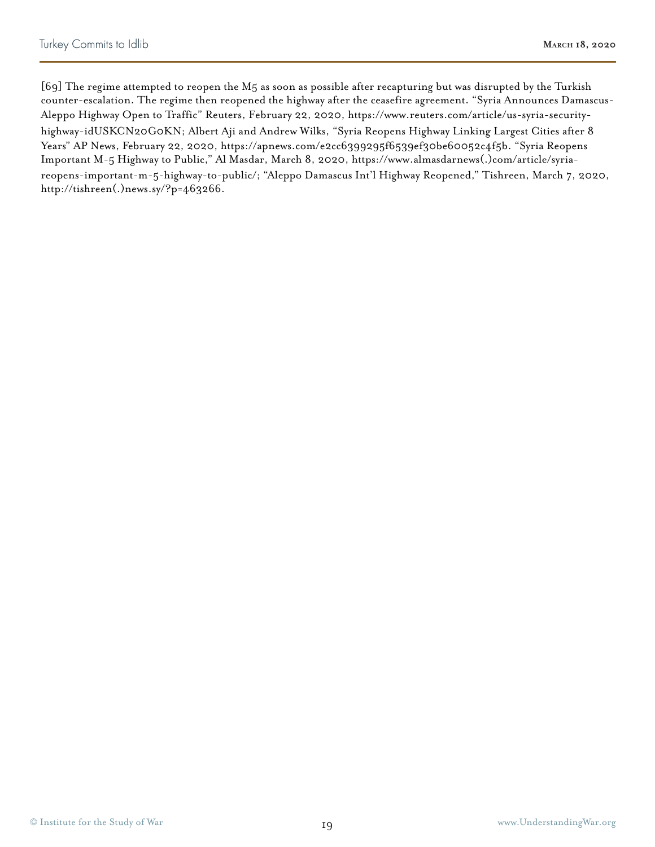[69] The regime attempted to reopen the M5 as soon as possible after recapturing but was disrupted by the Turkish counter-escalation. The regime then reopened the highway after the ceasefire agreement. "Syria Announces Damascus-Aleppo Highway Open to Traffic" Reuters, February 22, 2020, https://www.reuters.com/article/us-syria-securityhighway-idUSKCN20G0KN; Albert Aji and Andrew Wilks, "Syria Reopens Highway Linking Largest Cities after 8 Years" AP News, February 22, 2020, https://apnews.com/e2cc6399295f6539ef30be60052c4f5b. "Syria Reopens Important M-5 Highway to Public," Al Masdar, March 8, 2020, https://www.almasdarnews(.)com/article/syriareopens-important-m-5-highway-to-public/; "Aleppo Damascus Int'l Highway Reopened," Tishreen, March 7, 2020, http://tishreen(.)news.sy/?p=463266.